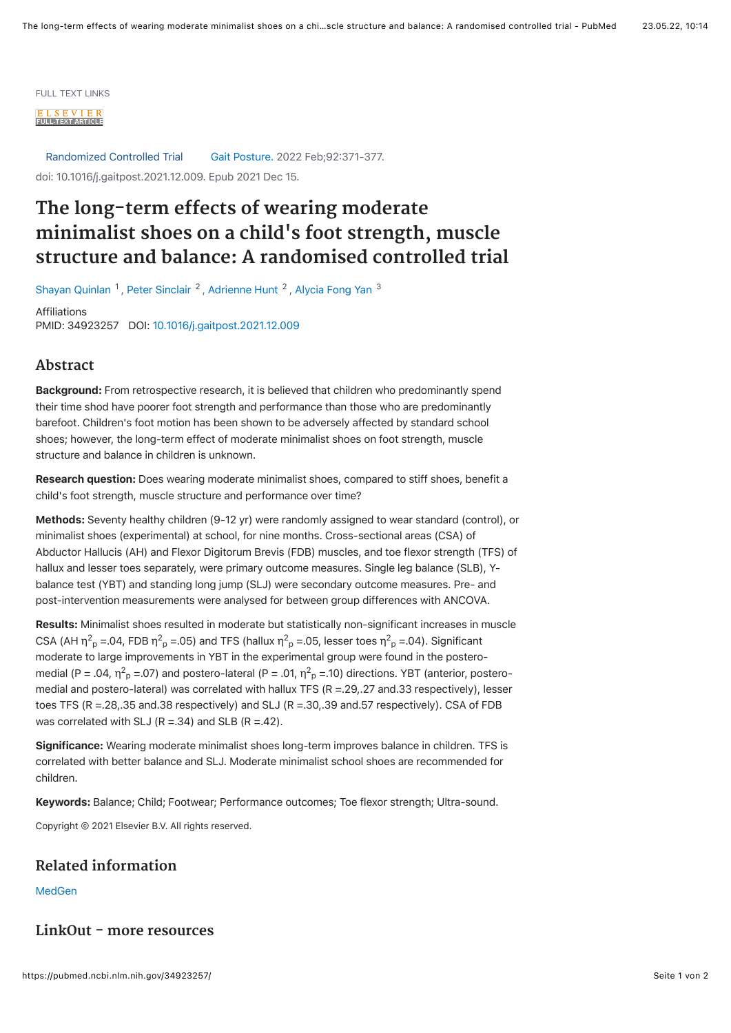

Randomized Controlled Trial Gait Posture. 2022 Feb;92:371-377. doi: 10.1016/j.gaitpost.2021.12.009. Epub 2021 Dec 15.

## **The long-term effects of wearing moderate minimalist shoes on a child's foot strength, muscle structure and balance: A randomised controlled trial**

[Shayan Quinlan](https://pubmed.ncbi.nlm.nih.gov/?term=Quinlan+S&cauthor_id=34923257) <sup>1</sup>, [Peter Sinclair](https://pubmed.ncbi.nlm.nih.gov/?term=Sinclair+P&cauthor_id=34923257) <sup>2</sup>, [Adrienne Hunt](https://pubmed.ncbi.nlm.nih.gov/?term=Hunt+A&cauthor_id=34923257) <sup>2</sup>, [Alycia Fong Yan](https://pubmed.ncbi.nlm.nih.gov/?term=Yan+AF&cauthor_id=34923257) <sup>[3](https://pubmed.ncbi.nlm.nih.gov/34923257/#affiliation-3)</sup>

Affiliations PMID: 34923257 DOI: [10.1016/j.gaitpost.2021.12.009](https://doi.org/10.1016/j.gaitpost.2021.12.009)

## **Abstract**

Background: From retrospective research, it is believed that children who predominantly spend their time shod have poorer foot strength and performance than those who are predominantly barefoot. Children's foot motion has been shown to be adversely affected by standard school shoes; however, the long-term effect of moderate minimalist shoes on foot strength, muscle structure and balance in children is unknown.

Research question: Does wearing moderate minimalist shoes, compared to stiff shoes, benefit a child's foot strength, muscle structure and performance over time?

Methods: Seventy healthy children (9-12 yr) were randomly assigned to wear standard (control), or minimalist shoes (experimental) at school, for nine months. Cross-sectional areas (CSA) of Abductor Hallucis (AH) and Flexor Digitorum Brevis (FDB) muscles, and toe flexor strength (TFS) of hallux and lesser toes separately, were primary outcome measures. Single leg balance (SLB), Ybalance test (YBT) and standing long jump (SLJ) were secondary outcome measures. Pre- and post-intervention measurements were analysed for between group differences with ANCOVA.

Results: Minimalist shoes resulted in moderate but statistically non-significant increases in muscle CSA (AH  $\eta^2$ <sub>p</sub> =.04, FDB  $\eta^2$ <sub>p</sub> =.05) and TFS (hallux  $\eta^2$ <sub>p</sub> =.05, lesser toes  $\eta^2$ <sub>p</sub> =.04). Significant moderate to large improvements in YBT in the experimental group were found in the posteromedial (P = .04, η<sup>2</sup><sub>p</sub> =.07) and postero-lateral (P = .01, η<sup>2</sup><sub>p</sub> =.10) directions. YBT (anterior, posteromedial and postero-lateral) was correlated with hallux TFS (R = .29, .27 and.33 respectively), lesser toes TFS (R =.28,.35 and.38 respectively) and SLJ (R =.30,.39 and.57 respectively). CSA of FDB was correlated with SLJ ( $R = .34$ ) and SLB ( $R = .42$ ).

Significance: Wearing moderate minimalist shoes long-term improves balance in children. TFS is correlated with better balance and SLJ. Moderate minimalist school shoes are recommended for children.

Keywords: Balance; Child; Footwear; Performance outcomes; Toe flexor strength; Ultra-sound.

Copyright © 2021 Elsevier B.V. All rights reserved.

## **Related information**

[MedGen](https://www.ncbi.nlm.nih.gov/medgen/?linkname=pubmed_medgen&from_uid=34923257)

## **LinkOut - more resources**